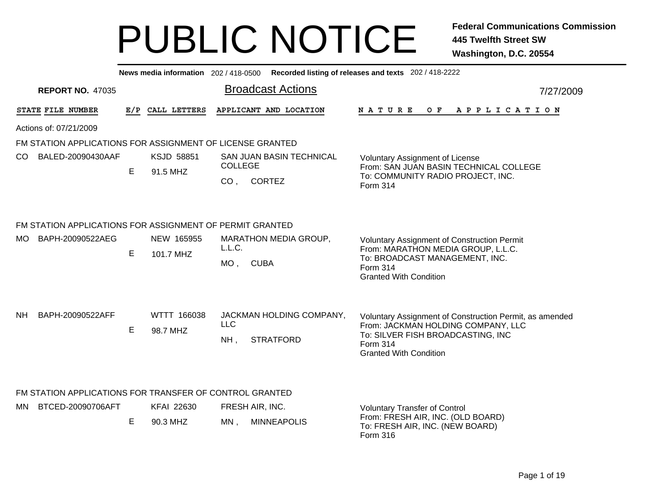|                                                           |                                                          | News media information 202/418-0500 |                   |                          | Recorded listing of releases and texts 202 / 418-2222                                    |  |  |  |  |  |  |  |  |
|-----------------------------------------------------------|----------------------------------------------------------|-------------------------------------|-------------------|--------------------------|------------------------------------------------------------------------------------------|--|--|--|--|--|--|--|--|
| <b>REPORT NO. 47035</b>                                   |                                                          |                                     |                   | <b>Broadcast Actions</b> | 7/27/2009                                                                                |  |  |  |  |  |  |  |  |
| STATE FILE NUMBER                                         |                                                          | E/P CALL LETTERS                    |                   | APPLICANT AND LOCATION   | <b>NATURE</b><br>O F<br>A P P L I C A T I O N                                            |  |  |  |  |  |  |  |  |
| Actions of: 07/21/2009                                    |                                                          |                                     |                   |                          |                                                                                          |  |  |  |  |  |  |  |  |
| FM STATION APPLICATIONS FOR ASSIGNMENT OF LICENSE GRANTED |                                                          |                                     |                   |                          |                                                                                          |  |  |  |  |  |  |  |  |
| BALED-20090430AAF<br>CO.                                  | E                                                        | KSJD 58851<br>91.5 MHZ              | <b>COLLEGE</b>    | SAN JUAN BASIN TECHNICAL | <b>Voluntary Assignment of License</b><br>From: SAN JUAN BASIN TECHNICAL COLLEGE         |  |  |  |  |  |  |  |  |
|                                                           |                                                          |                                     | CO <sub>1</sub>   | <b>CORTEZ</b>            | To: COMMUNITY RADIO PROJECT, INC.<br>Form 314                                            |  |  |  |  |  |  |  |  |
|                                                           | FM STATION APPLICATIONS FOR ASSIGNMENT OF PERMIT GRANTED |                                     |                   |                          |                                                                                          |  |  |  |  |  |  |  |  |
| BAPH-20090522AEG<br>MO.                                   |                                                          | NEW 165955                          | L.L.C.            | MARATHON MEDIA GROUP,    | <b>Voluntary Assignment of Construction Permit</b><br>From: MARATHON MEDIA GROUP, L.L.C. |  |  |  |  |  |  |  |  |
|                                                           | Е                                                        | 101.7 MHZ                           | $MO$ ,            | <b>CUBA</b>              | To: BROADCAST MANAGEMENT, INC.<br><b>Form 314</b><br><b>Granted With Condition</b>       |  |  |  |  |  |  |  |  |
| <b>NH</b><br>BAPH-20090522AFF                             |                                                          | WTTT 166038                         |                   | JACKMAN HOLDING COMPANY, | Voluntary Assignment of Construction Permit, as amended                                  |  |  |  |  |  |  |  |  |
|                                                           | E                                                        | 98.7 MHZ                            | <b>LLC</b><br>NH, | <b>STRATFORD</b>         | From: JACKMAN HOLDING COMPANY, LLC<br>To: SILVER FISH BROADCASTING, INC                  |  |  |  |  |  |  |  |  |
|                                                           |                                                          |                                     |                   |                          | Form 314<br><b>Granted With Condition</b>                                                |  |  |  |  |  |  |  |  |
|                                                           |                                                          |                                     |                   |                          |                                                                                          |  |  |  |  |  |  |  |  |
| FM STATION APPLICATIONS FOR TRANSFER OF CONTROL GRANTED   |                                                          |                                     |                   |                          |                                                                                          |  |  |  |  |  |  |  |  |
| BTCED-20090706AFT<br>MN.                                  |                                                          | <b>KFAI 22630</b>                   | FRESH AIR, INC.   |                          | <b>Voluntary Transfer of Control</b><br>From: FRESH AIR, INC. (OLD BOARD)                |  |  |  |  |  |  |  |  |
|                                                           | Е                                                        | 90.3 MHZ                            | MN,               | <b>MINNEAPOLIS</b>       | To: FRESH AIR, INC. (NEW BOARD)<br>Form 316                                              |  |  |  |  |  |  |  |  |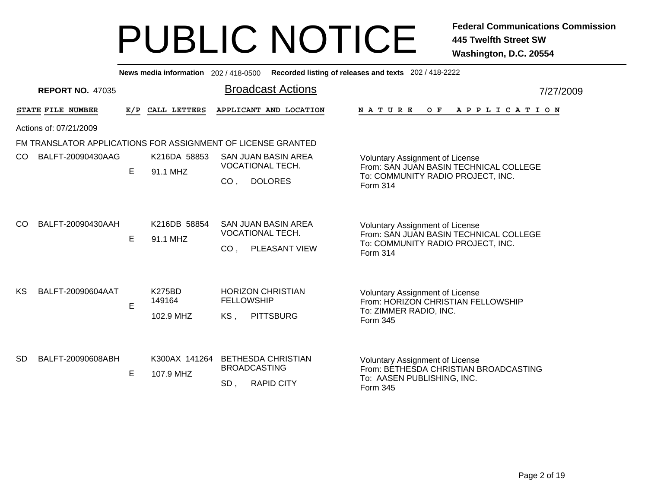Broadcast Actions 7/27/2009**News media information** 202 / 418-0500 **Recorded listing of releases and texts** 202 / 418-2222 **REPORT NO.** 47035STATE FILE NUMBER **FILE NUMBER E/P CALL LETTERS APPLICANT AND LOCATION N A T U R E O F A P P L I C A T I O N** Actions of: 07/21/2009FM TRANSLATOR APPLICATIONS FOR ASSIGNMENT OF LICENSE GRANTED, DOLORES COE 91.1 MHZVoluntary Assignment of License From: SAN JUAN BASIN TECHNICAL COLLEGETo: COMMUNITY RADIO PROJECT, INC. Form 314SAN JUAN BASIN AREAVOCATIONAL TECH.CO BALFT-20090430AAG K216DA 58853 , PLEASANT VIEW COE 91.1 MHZVoluntary Assignment of License From: SAN JUAN BASIN TECHNICAL COLLEGETo: COMMUNITY RADIO PROJECT, INC. Form 314SAN JUAN BASIN AREAVOCATIONAL TECH.CO BALFT-20090430AAH K216DB 58854 102.9 MHZ , PITTSBURG EKS. Voluntary Assignment of License From: HORIZON CHRISTIAN FELLOWSHIPTo: ZIMMER RADIO, INC. Form 345HORIZON CHRISTIANFELLOWSHIPK275BD149164KS BALFT-20090604AAT , RAPID CITY E 107.9 MHZSD. Voluntary Assignment of License From: BETHESDA CHRISTIAN BROADCASTINGTo: AASEN PUBLISHING, INC. Form 345K300AX 141264 BETHESDA CHRISTIAN BROADCASTINGSDBALFT-20090608ABH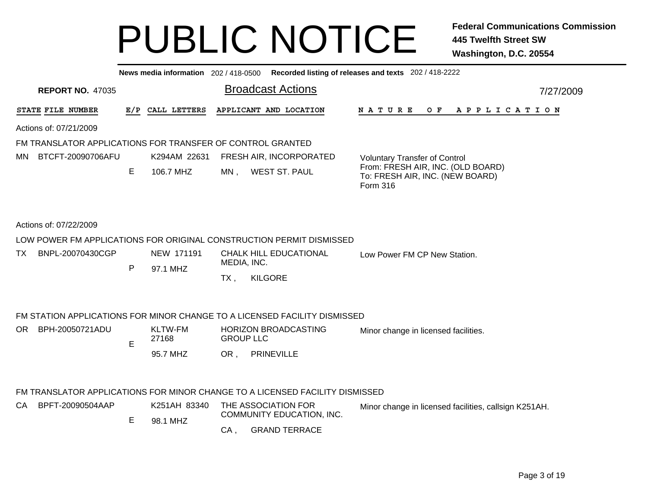|                                                   |   | News media information 202/418-0500 |                                                                                                                                                  | Recorded listing of releases and texts 202 / 418-2222                            |
|---------------------------------------------------|---|-------------------------------------|--------------------------------------------------------------------------------------------------------------------------------------------------|----------------------------------------------------------------------------------|
| <b>REPORT NO. 47035</b>                           |   |                                     | <b>Broadcast Actions</b>                                                                                                                         | 7/27/2009                                                                        |
| STATE FILE NUMBER                                 |   | E/P CALL LETTERS                    | APPLICANT AND LOCATION                                                                                                                           | N A T U R E<br>O F<br>A P P L I C A T I O N                                      |
| Actions of: 07/21/2009                            |   |                                     |                                                                                                                                                  |                                                                                  |
|                                                   |   |                                     | FM TRANSLATOR APPLICATIONS FOR TRANSFER OF CONTROL GRANTED                                                                                       |                                                                                  |
| BTCFT-20090706AFU<br>MN.                          |   | K294AM 22631                        | FRESH AIR, INCORPORATED                                                                                                                          | <b>Voluntary Transfer of Control</b>                                             |
|                                                   | Е | 106.7 MHZ                           | <b>WEST ST. PAUL</b><br>$MN$ ,                                                                                                                   | From: FRESH AIR, INC. (OLD BOARD)<br>To: FRESH AIR, INC. (NEW BOARD)<br>Form 316 |
| Actions of: 07/22/2009<br>BNPL-20070430CGP<br>TX. | P | NEW 171191<br>97.1 MHZ              | LOW POWER FM APPLICATIONS FOR ORIGINAL CONSTRUCTION PERMIT DISMISSED<br><b>CHALK HILL EDUCATIONAL</b><br>MEDIA, INC.<br><b>KILGORE</b><br>$TX$ , | Low Power FM CP New Station.                                                     |
|                                                   |   |                                     | FM STATION APPLICATIONS FOR MINOR CHANGE TO A LICENSED FACILITY DISMISSED                                                                        |                                                                                  |
| BPH-20050721ADU<br>OR.                            |   | <b>KLTW-FM</b>                      | <b>HORIZON BROADCASTING</b>                                                                                                                      |                                                                                  |
|                                                   | E | 27168                               | <b>GROUP LLC</b>                                                                                                                                 | Minor change in licensed facilities.                                             |
|                                                   |   | 95.7 MHZ                            | PRINEVILLE<br>OR,                                                                                                                                |                                                                                  |
|                                                   |   |                                     | FM TRANSLATOR APPLICATIONS FOR MINOR CHANGE TO A LICENSED FACILITY DISMISSED                                                                     |                                                                                  |
| BPFT-20090504AAP<br>CA.                           |   | K251AH 83340                        | THE ASSOCIATION FOR                                                                                                                              | Minor change in licensed facilities, callsign K251AH.                            |
|                                                   | Е |                                     | COMMUNITY EDUCATION, INC.                                                                                                                        |                                                                                  |
|                                                   |   | 98.1 MHZ                            | <b>GRAND TERRACE</b><br>$CA$ ,                                                                                                                   |                                                                                  |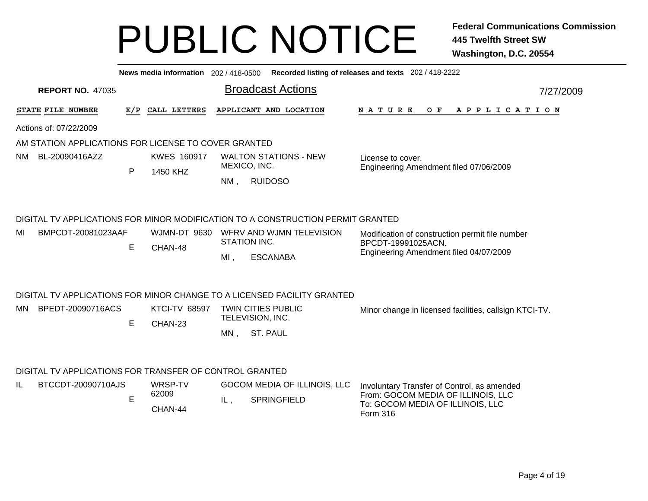|                       |                                                         |                    | News media information 202 / 418-0500 |                                              |                                                                                 | Recorded listing of releases and texts 202 / 418-2222                  |  |  |  |
|-----------------------|---------------------------------------------------------|--------------------|---------------------------------------|----------------------------------------------|---------------------------------------------------------------------------------|------------------------------------------------------------------------|--|--|--|
|                       | <b>REPORT NO. 47035</b>                                 |                    |                                       |                                              | <b>Broadcast Actions</b>                                                        | 7/27/2009                                                              |  |  |  |
|                       | STATE FILE NUMBER                                       | E/P                | CALL LETTERS                          |                                              | APPLICANT AND LOCATION                                                          | N A T U R E<br>O F<br>A P P L I C A T I O N                            |  |  |  |
|                       | Actions of: 07/22/2009                                  |                    |                                       |                                              |                                                                                 |                                                                        |  |  |  |
|                       | AM STATION APPLICATIONS FOR LICENSE TO COVER GRANTED    |                    |                                       |                                              |                                                                                 |                                                                        |  |  |  |
| BL-20090416AZZ<br>NM. |                                                         | <b>KWES 160917</b> |                                       | <b>WALTON STATIONS - NEW</b><br>MEXICO, INC. | License to cover.                                                               |                                                                        |  |  |  |
|                       |                                                         | P                  | 1450 KHZ                              | $NM$ ,                                       | <b>RUIDOSO</b>                                                                  | Engineering Amendment filed 07/06/2009                                 |  |  |  |
|                       |                                                         |                    |                                       |                                              | DIGITAL TV APPLICATIONS FOR MINOR MODIFICATION TO A CONSTRUCTION PERMIT GRANTED |                                                                        |  |  |  |
| MI                    | BMPCDT-20081023AAF                                      |                    |                                       |                                              | WJMN-DT 9630 WFRV AND WJMN TELEVISION                                           | Modification of construction permit file number                        |  |  |  |
|                       |                                                         | Е                  | CHAN-48                               | STATION INC.                                 | BPCDT-19991025ACN.<br>Engineering Amendment filed 04/07/2009                    |                                                                        |  |  |  |
|                       |                                                         |                    |                                       | $MI$ ,                                       | <b>ESCANABA</b>                                                                 |                                                                        |  |  |  |
|                       |                                                         |                    |                                       |                                              | DIGITAL TV APPLICATIONS FOR MINOR CHANGE TO A LICENSED FACILITY GRANTED         |                                                                        |  |  |  |
| MN.                   | BPEDT-20090716ACS                                       |                    | <b>KTCI-TV 68597</b>                  |                                              | <b>TWIN CITIES PUBLIC</b>                                                       | Minor change in licensed facilities, callsign KTCI-TV.                 |  |  |  |
|                       |                                                         | E                  | CHAN-23                               |                                              | TELEVISION, INC.                                                                |                                                                        |  |  |  |
|                       |                                                         |                    |                                       | MN,                                          | <b>ST. PAUL</b>                                                                 |                                                                        |  |  |  |
|                       | DIGITAL TV APPLICATIONS FOR TRANSFER OF CONTROL GRANTED |                    |                                       |                                              |                                                                                 |                                                                        |  |  |  |
| IL                    | BTCCDT-20090710AJS                                      |                    | WRSP-TV                               |                                              | GOCOM MEDIA OF ILLINOIS, LLC                                                    | Involuntary Transfer of Control, as amended                            |  |  |  |
|                       |                                                         | E                  | 62009<br>$CU$ $NU$ $AA$               | IL,                                          | <b>SPRINGFIELD</b>                                                              | From: GOCOM MEDIA OF ILLINOIS, LLC<br>To: GOCOM MEDIA OF ILLINOIS, LLC |  |  |  |

Form 316

CHAN-44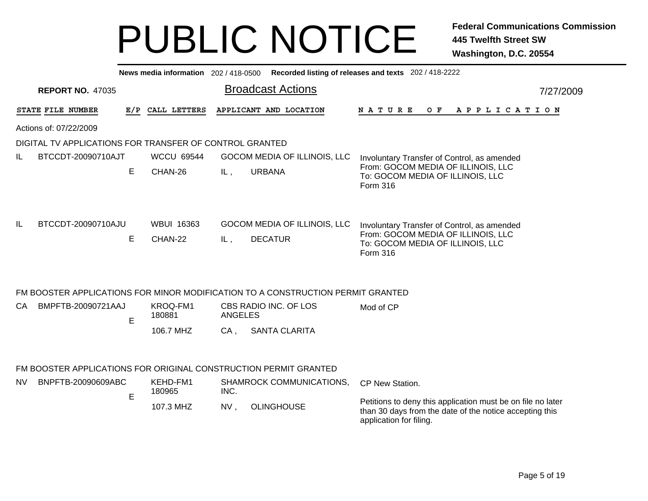|                        | News media information 202/418-0500 Recorded listing of releases and texts 202/418-2222 |   |                       |         |                                                                                 |                                                                                                                                                   |           |  |  |  |  |  |  |  |
|------------------------|-----------------------------------------------------------------------------------------|---|-----------------------|---------|---------------------------------------------------------------------------------|---------------------------------------------------------------------------------------------------------------------------------------------------|-----------|--|--|--|--|--|--|--|
|                        | <b>REPORT NO. 47035</b>                                                                 |   |                       |         | <b>Broadcast Actions</b>                                                        |                                                                                                                                                   | 7/27/2009 |  |  |  |  |  |  |  |
|                        | STATE FILE NUMBER                                                                       |   | E/P CALL LETTERS      |         | APPLICANT AND LOCATION                                                          | O F<br>N A T U R E<br>A P P L I C A T I O N                                                                                                       |           |  |  |  |  |  |  |  |
| Actions of: 07/22/2009 |                                                                                         |   |                       |         |                                                                                 |                                                                                                                                                   |           |  |  |  |  |  |  |  |
|                        | DIGITAL TV APPLICATIONS FOR TRANSFER OF CONTROL GRANTED                                 |   |                       |         |                                                                                 |                                                                                                                                                   |           |  |  |  |  |  |  |  |
| IL.                    | BTCCDT-20090710AJT                                                                      |   | <b>WCCU 69544</b>     |         | GOCOM MEDIA OF ILLINOIS, LLC                                                    | Involuntary Transfer of Control, as amended                                                                                                       |           |  |  |  |  |  |  |  |
|                        |                                                                                         | E | CHAN-26               | IL,     | <b>URBANA</b>                                                                   | From: GOCOM MEDIA OF ILLINOIS, LLC<br>To: GOCOM MEDIA OF ILLINOIS, LLC<br>Form 316                                                                |           |  |  |  |  |  |  |  |
| IL.                    | BTCCDT-20090710AJU                                                                      | E | WBUI 16363<br>CHAN-22 | IL,     | GOCOM MEDIA OF ILLINOIS, LLC<br><b>DECATUR</b>                                  | Involuntary Transfer of Control, as amended<br>From: GOCOM MEDIA OF ILLINOIS, LLC<br>To: GOCOM MEDIA OF ILLINOIS, LLC<br>Form 316                 |           |  |  |  |  |  |  |  |
|                        |                                                                                         |   |                       |         | FM BOOSTER APPLICATIONS FOR MINOR MODIFICATION TO A CONSTRUCTION PERMIT GRANTED |                                                                                                                                                   |           |  |  |  |  |  |  |  |
| CA                     | BMPFTB-20090721AAJ                                                                      | E | KROQ-FM1<br>180881    | ANGELES | CBS RADIO INC. OF LOS                                                           | Mod of CP                                                                                                                                         |           |  |  |  |  |  |  |  |
|                        |                                                                                         |   | 106.7 MHZ             | CA,     | <b>SANTA CLARITA</b>                                                            |                                                                                                                                                   |           |  |  |  |  |  |  |  |
|                        |                                                                                         |   |                       |         | FM BOOSTER APPLICATIONS FOR ORIGINAL CONSTRUCTION PERMIT GRANTED                |                                                                                                                                                   |           |  |  |  |  |  |  |  |
| <b>NV</b>              | BNPFTB-20090609ABC                                                                      |   | KEHD-FM1              |         | SHAMROCK COMMUNICATIONS,                                                        | CP New Station.                                                                                                                                   |           |  |  |  |  |  |  |  |
|                        |                                                                                         | E | 180965                | INC.    |                                                                                 |                                                                                                                                                   |           |  |  |  |  |  |  |  |
|                        |                                                                                         |   | 107.3 MHZ             | NV,     | <b>OLINGHOUSE</b>                                                               | Petitions to deny this application must be on file no later<br>than 30 days from the date of the notice accepting this<br>application for filing. |           |  |  |  |  |  |  |  |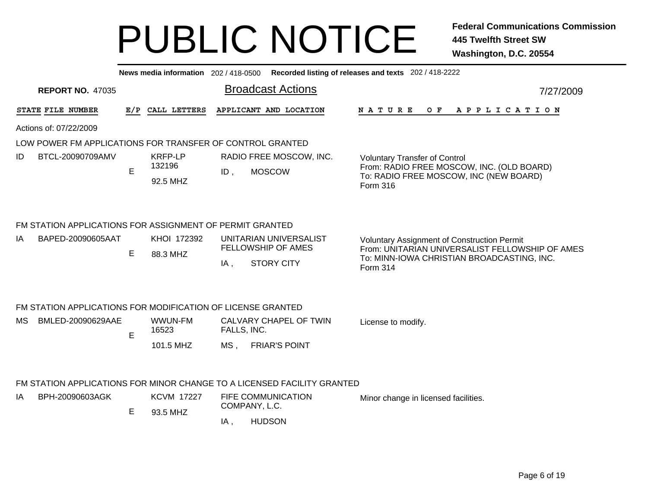**News media information** 202 / 418-0500**Recorded listing of releases and texts** 202 / 418-2222

| <b>REPORT NO. 47035</b>                                                                |   |                                      | <b>Broadcast Actions</b>                                                        | 7/27/2009                                                                                                                                                       |
|----------------------------------------------------------------------------------------|---|--------------------------------------|---------------------------------------------------------------------------------|-----------------------------------------------------------------------------------------------------------------------------------------------------------------|
| <b>STATE FILE NUMBER</b>                                                               |   | E/P CALL LETTERS                     | APPLICANT AND LOCATION                                                          | A P P L I C A T I O N<br>NATURE OF                                                                                                                              |
| Actions of: 07/22/2009                                                                 |   |                                      |                                                                                 |                                                                                                                                                                 |
| LOW POWER FM APPLICATIONS FOR TRANSFER OF CONTROL GRANTED                              |   |                                      |                                                                                 |                                                                                                                                                                 |
| ID<br>BTCL-20090709AMV                                                                 | E | <b>KRFP-LP</b><br>132196<br>92.5 MHZ | RADIO FREE MOSCOW, INC.<br><b>MOSCOW</b><br>$ID$ ,                              | <b>Voluntary Transfer of Control</b><br>From: RADIO FREE MOSCOW, INC. (OLD BOARD)<br>To: RADIO FREE MOSCOW, INC (NEW BOARD)<br>Form 316                         |
| FM STATION APPLICATIONS FOR ASSIGNMENT OF PERMIT GRANTED<br>ΙA<br>BAPED-20090605AAT    | E | KHOI 172392<br>88.3 MHZ              | UNITARIAN UNIVERSALIST<br><b>FELLOWSHIP OF AMES</b><br><b>STORY CITY</b><br>IA, | <b>Voluntary Assignment of Construction Permit</b><br>From: UNITARIAN UNIVERSALIST FELLOWSHIP OF AMES<br>To: MINN-IOWA CHRISTIAN BROADCASTING, INC.<br>Form 314 |
| FM STATION APPLICATIONS FOR MODIFICATION OF LICENSE GRANTED<br>BMLED-20090629AAE<br>МS | E | WWUN-FM<br>16523<br>101.5 MHZ        | CALVARY CHAPEL OF TWIN<br>FALLS, INC.<br><b>FRIAR'S POINT</b><br>MS .           | License to modify.                                                                                                                                              |
|                                                                                        |   |                                      |                                                                                 |                                                                                                                                                                 |

#### FM STATION APPLICATIONS FOR MINOR CHANGE TO A LICENSED FACILITY GRANTED

| -lA | BPH-20090603AGK | <b>KCVM 17227</b> | FIFE COMMUNICATION<br>COMPANY, L.C. | Minor change in licensed facilities. |
|-----|-----------------|-------------------|-------------------------------------|--------------------------------------|
|     |                 | 93.5 MHZ          | <b>HUDSON</b>                       |                                      |
|     |                 |                   |                                     |                                      |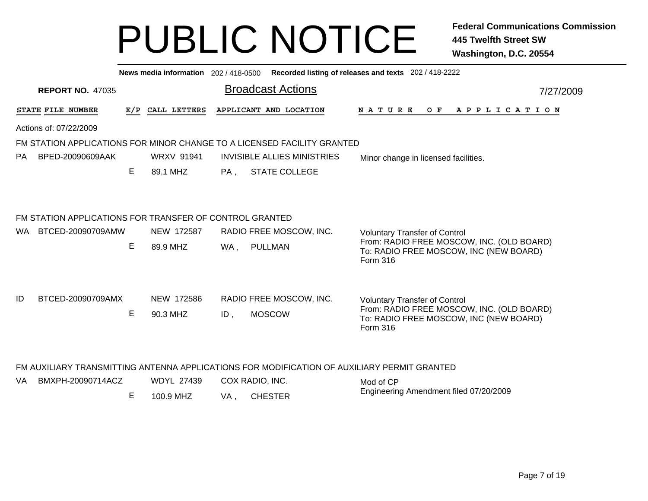|                                                                         |                                                         |                         |                   |                   | News media information 202 / 418-0500 Recorded listing of releases and texts 202 / 418-2222 |                                                                                             |                                                                                                 |  |  |  |  |  |  |
|-------------------------------------------------------------------------|---------------------------------------------------------|-------------------------|-------------------|-------------------|---------------------------------------------------------------------------------------------|---------------------------------------------------------------------------------------------|-------------------------------------------------------------------------------------------------|--|--|--|--|--|--|
|                                                                         |                                                         | <b>REPORT NO. 47035</b> |                   |                   |                                                                                             | <b>Broadcast Actions</b>                                                                    | 7/27/2009                                                                                       |  |  |  |  |  |  |
|                                                                         | STATE FILE NUMBER                                       |                         |                   | E/P CALL LETTERS  |                                                                                             | APPLICANT AND LOCATION                                                                      | <b>NATURE</b><br>OF APPLICATION                                                                 |  |  |  |  |  |  |
|                                                                         | Actions of: 07/22/2009                                  |                         |                   |                   |                                                                                             |                                                                                             |                                                                                                 |  |  |  |  |  |  |
| FM STATION APPLICATIONS FOR MINOR CHANGE TO A LICENSED FACILITY GRANTED |                                                         |                         |                   |                   |                                                                                             |                                                                                             |                                                                                                 |  |  |  |  |  |  |
| <b>PA</b>                                                               |                                                         | BPED-20090609AAK        |                   | <b>WRXV 91941</b> |                                                                                             | <b>INVISIBLE ALLIES MINISTRIES</b>                                                          | Minor change in licensed facilities.                                                            |  |  |  |  |  |  |
|                                                                         |                                                         |                         | E.                | 89.1 MHZ          | PA,                                                                                         | <b>STATE COLLEGE</b>                                                                        |                                                                                                 |  |  |  |  |  |  |
|                                                                         |                                                         |                         |                   |                   |                                                                                             |                                                                                             |                                                                                                 |  |  |  |  |  |  |
|                                                                         | FM STATION APPLICATIONS FOR TRANSFER OF CONTROL GRANTED |                         |                   |                   |                                                                                             |                                                                                             |                                                                                                 |  |  |  |  |  |  |
| WA.                                                                     |                                                         | BTCED-20090709AMW       |                   | NEW 172587        |                                                                                             | RADIO FREE MOSCOW, INC.                                                                     | <b>Voluntary Transfer of Control</b>                                                            |  |  |  |  |  |  |
|                                                                         |                                                         |                         | E.                | 89.9 MHZ          | WA,                                                                                         | PULLMAN                                                                                     | From: RADIO FREE MOSCOW, INC. (OLD BOARD)<br>To: RADIO FREE MOSCOW, INC (NEW BOARD)<br>Form 316 |  |  |  |  |  |  |
| ID                                                                      |                                                         | BTCED-20090709AMX       |                   | NEW 172586        |                                                                                             | RADIO FREE MOSCOW, INC.                                                                     | <b>Voluntary Transfer of Control</b>                                                            |  |  |  |  |  |  |
|                                                                         |                                                         |                         | Е                 | 90.3 MHZ          | ID,                                                                                         | <b>MOSCOW</b>                                                                               | From: RADIO FREE MOSCOW, INC. (OLD BOARD)<br>To: RADIO FREE MOSCOW, INC (NEW BOARD)<br>Form 316 |  |  |  |  |  |  |
|                                                                         |                                                         |                         |                   |                   |                                                                                             |                                                                                             |                                                                                                 |  |  |  |  |  |  |
|                                                                         |                                                         |                         |                   |                   |                                                                                             | FM AUXILIARY TRANSMITTING ANTENNA APPLICATIONS FOR MODIFICATION OF AUXILIARY PERMIT GRANTED |                                                                                                 |  |  |  |  |  |  |
| BMXPH-20090714ACZ<br>VA.                                                |                                                         |                         | <b>WDYL 27439</b> |                   | COX RADIO, INC.                                                                             | Mod of CP                                                                                   |                                                                                                 |  |  |  |  |  |  |
|                                                                         |                                                         |                         | E                 | 100.9 MHZ         | VA,                                                                                         | <b>CHESTER</b>                                                                              | Engineering Amendment filed 07/20/2009                                                          |  |  |  |  |  |  |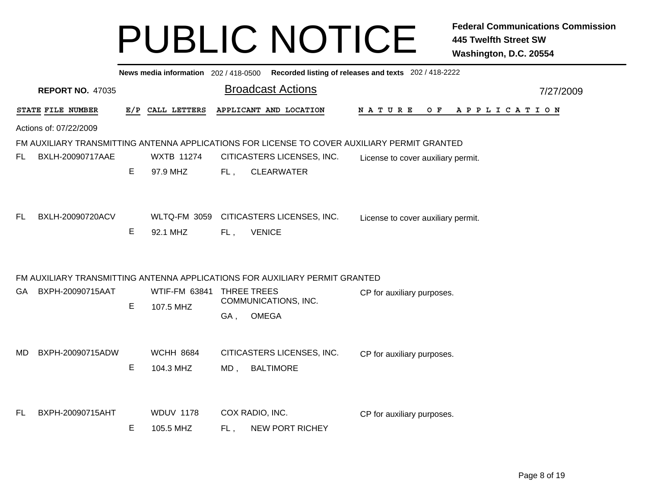|     |                         |     |                   |                          | News media information 202 / 418-0500 Recorded listing of releases and texts 202 / 418-2222  |        |                                    |         |  |  |           |             |  |
|-----|-------------------------|-----|-------------------|--------------------------|----------------------------------------------------------------------------------------------|--------|------------------------------------|---------|--|--|-----------|-------------|--|
|     | <b>REPORT NO. 47035</b> |     |                   | <b>Broadcast Actions</b> |                                                                                              |        |                                    |         |  |  | 7/27/2009 |             |  |
|     | STATE FILE NUMBER       | E/P | CALL LETTERS      |                          | APPLICANT AND LOCATION                                                                       | NATURE |                                    | $O$ $F$ |  |  |           | APPLICATION |  |
|     | Actions of: 07/22/2009  |     |                   |                          |                                                                                              |        |                                    |         |  |  |           |             |  |
|     |                         |     |                   |                          | FM AUXILIARY TRANSMITTING ANTENNA APPLICATIONS FOR LICENSE TO COVER AUXILIARY PERMIT GRANTED |        |                                    |         |  |  |           |             |  |
| FL  | BXLH-20090717AAE        |     | <b>WXTB 11274</b> |                          | CITICASTERS LICENSES, INC.                                                                   |        | License to cover auxiliary permit. |         |  |  |           |             |  |
|     |                         | Е   | 97.9 MHZ          | FL,                      | <b>CLEARWATER</b>                                                                            |        |                                    |         |  |  |           |             |  |
|     |                         |     |                   |                          |                                                                                              |        |                                    |         |  |  |           |             |  |
| FL  | BXLH-20090720ACV        |     |                   |                          | WLTQ-FM 3059 CITICASTERS LICENSES, INC.                                                      |        | License to cover auxiliary permit. |         |  |  |           |             |  |
|     |                         | E   | 92.1 MHZ          | FL,                      | <b>VENICE</b>                                                                                |        |                                    |         |  |  |           |             |  |
|     |                         |     |                   |                          | FM AUXILIARY TRANSMITTING ANTENNA APPLICATIONS FOR AUXILIARY PERMIT GRANTED                  |        |                                    |         |  |  |           |             |  |
| GA  | BXPH-20090715AAT        |     | WTIF-FM 63841     |                          | <b>THREE TREES</b>                                                                           |        | CP for auxiliary purposes.         |         |  |  |           |             |  |
|     |                         | E   | 107.5 MHZ         |                          | COMMUNICATIONS, INC.                                                                         |        |                                    |         |  |  |           |             |  |
|     |                         |     |                   | GA,                      | <b>OMEGA</b>                                                                                 |        |                                    |         |  |  |           |             |  |
| MD. | BXPH-20090715ADW        |     | <b>WCHH 8684</b>  |                          | CITICASTERS LICENSES, INC.                                                                   |        | CP for auxiliary purposes.         |         |  |  |           |             |  |
|     |                         | E   | 104.3 MHZ         | MD,                      | <b>BALTIMORE</b>                                                                             |        |                                    |         |  |  |           |             |  |
|     |                         |     |                   |                          |                                                                                              |        |                                    |         |  |  |           |             |  |
| FL  | BXPH-20090715AHT        |     | <b>WDUV 1178</b>  |                          | COX RADIO, INC.                                                                              |        | CP for auxiliary purposes.         |         |  |  |           |             |  |
|     |                         | E   | 105.5 MHZ         | FL,                      | <b>NEW PORT RICHEY</b>                                                                       |        |                                    |         |  |  |           |             |  |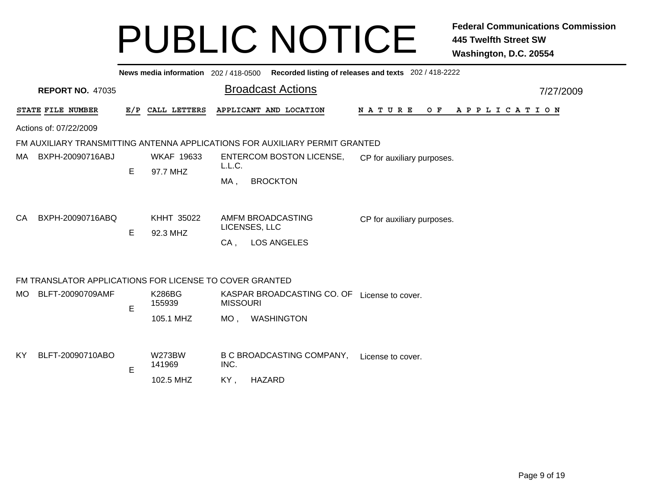|     | News media information 202 / 418-0500 Recorded listing of releases and texts 202 / 418-2222 |    |                               |                                                                  |                                  |                                             |  |  |  |  |  |  |  |
|-----|---------------------------------------------------------------------------------------------|----|-------------------------------|------------------------------------------------------------------|----------------------------------|---------------------------------------------|--|--|--|--|--|--|--|
|     | <b>Broadcast Actions</b><br><b>REPORT NO. 47035</b><br>7/27/2009                            |    |                               |                                                                  |                                  |                                             |  |  |  |  |  |  |  |
|     | STATE FILE NUMBER                                                                           |    | E/P CALL LETTERS              |                                                                  | APPLICANT AND LOCATION           | N A T U R E<br>O F<br>A P P L I C A T I O N |  |  |  |  |  |  |  |
|     | Actions of: 07/22/2009                                                                      |    |                               |                                                                  |                                  |                                             |  |  |  |  |  |  |  |
|     | FM AUXILIARY TRANSMITTING ANTENNA APPLICATIONS FOR AUXILIARY PERMIT GRANTED                 |    |                               |                                                                  |                                  |                                             |  |  |  |  |  |  |  |
| MA. | BXPH-20090716ABJ                                                                            | E. | <b>WKAF 19633</b><br>97.7 MHZ | L.L.C.                                                           | <b>ENTERCOM BOSTON LICENSE,</b>  | CP for auxiliary purposes.                  |  |  |  |  |  |  |  |
|     |                                                                                             |    |                               | MA,                                                              | <b>BROCKTON</b>                  |                                             |  |  |  |  |  |  |  |
|     |                                                                                             |    |                               |                                                                  |                                  |                                             |  |  |  |  |  |  |  |
| CA  | BXPH-20090716ABQ                                                                            | E  | KHHT 35022<br>92.3 MHZ        | AMFM BROADCASTING<br>CP for auxiliary purposes.<br>LICENSES, LLC |                                  |                                             |  |  |  |  |  |  |  |
|     |                                                                                             |    |                               | CA.                                                              | <b>LOS ANGELES</b>               |                                             |  |  |  |  |  |  |  |
|     |                                                                                             |    |                               |                                                                  |                                  |                                             |  |  |  |  |  |  |  |
|     | FM TRANSLATOR APPLICATIONS FOR LICENSE TO COVER GRANTED                                     |    |                               |                                                                  |                                  |                                             |  |  |  |  |  |  |  |
| MO. | BLFT-20090709AMF                                                                            | E  | <b>K286BG</b><br>155939       | <b>MISSOURI</b>                                                  | KASPAR BROADCASTING CO. OF       | License to cover.                           |  |  |  |  |  |  |  |
|     |                                                                                             |    | 105.1 MHZ                     | MO,                                                              | WASHINGTON                       |                                             |  |  |  |  |  |  |  |
|     |                                                                                             |    |                               |                                                                  |                                  |                                             |  |  |  |  |  |  |  |
| KY. | BLFT-20090710ABO                                                                            | E  | <b>W273BW</b><br>141969       | INC.                                                             | <b>B C BROADCASTING COMPANY,</b> | License to cover.                           |  |  |  |  |  |  |  |
|     |                                                                                             |    | 102.5 MHZ                     | KY,                                                              | <b>HAZARD</b>                    |                                             |  |  |  |  |  |  |  |
|     |                                                                                             |    |                               |                                                                  |                                  |                                             |  |  |  |  |  |  |  |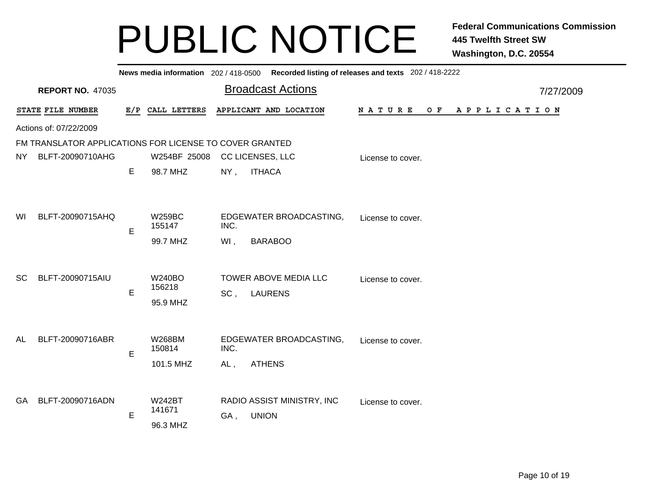|                                                         | News media information 202/418-0500 Recorded listing of releases and texts 202/418-2222 |             |                                      |                |                                            |                                             |           |  |  |  |  |  |
|---------------------------------------------------------|-----------------------------------------------------------------------------------------|-------------|--------------------------------------|----------------|--------------------------------------------|---------------------------------------------|-----------|--|--|--|--|--|
|                                                         | <b>REPORT NO. 47035</b>                                                                 |             |                                      |                | <b>Broadcast Actions</b>                   |                                             | 7/27/2009 |  |  |  |  |  |
|                                                         | STATE FILE NUMBER                                                                       |             | E/P CALL LETTERS                     |                | APPLICANT AND LOCATION                     | N A T U R E<br>O F<br>A P P L I C A T I O N |           |  |  |  |  |  |
|                                                         | Actions of: 07/22/2009                                                                  |             |                                      |                |                                            |                                             |           |  |  |  |  |  |
| FM TRANSLATOR APPLICATIONS FOR LICENSE TO COVER GRANTED |                                                                                         |             |                                      |                |                                            |                                             |           |  |  |  |  |  |
| NY.                                                     | BLFT-20090710AHG                                                                        |             | W254BF 25008                         |                | CC LICENSES, LLC                           | License to cover.                           |           |  |  |  |  |  |
|                                                         |                                                                                         | Е           | 98.7 MHZ                             | $NY$ ,         | <b>ITHACA</b>                              |                                             |           |  |  |  |  |  |
|                                                         |                                                                                         |             |                                      |                |                                            |                                             |           |  |  |  |  |  |
| WI                                                      | BLFT-20090715AHQ                                                                        | E           | <b>W259BC</b><br>155147              | INC.           | EDGEWATER BROADCASTING,                    | License to cover.                           |           |  |  |  |  |  |
|                                                         |                                                                                         |             | 99.7 MHZ                             | WI,            | <b>BARABOO</b>                             |                                             |           |  |  |  |  |  |
| <sub>SC</sub>                                           | BLFT-20090715AIU                                                                        | E           | <b>W240BO</b><br>156218<br>95.9 MHZ  | SC,            | TOWER ABOVE MEDIA LLC<br><b>LAURENS</b>    | License to cover.                           |           |  |  |  |  |  |
| <b>AL</b>                                               | BLFT-20090716ABR                                                                        | E           | <b>W268BM</b><br>150814<br>101.5 MHZ | INC.<br>$AL$ , | EDGEWATER BROADCASTING,<br><b>ATHENS</b>   | License to cover.                           |           |  |  |  |  |  |
| GA.                                                     | BLFT-20090716ADN                                                                        | $\mathsf E$ | <b>W242BT</b><br>141671<br>96.3 MHZ  | GA,            | RADIO ASSIST MINISTRY, INC<br><b>UNION</b> | License to cover.                           |           |  |  |  |  |  |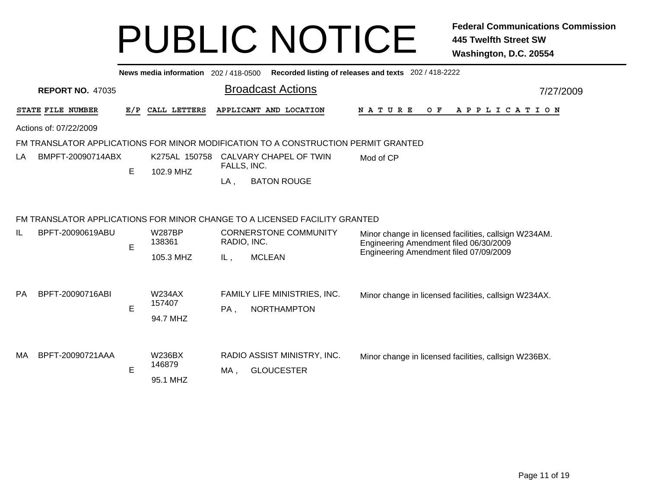|           |                         |             | News media information 202 / 418-0500 |             |                                                                                    | Recorded listing of releases and texts 202 / 418-2222                                           |  |  |  |  |  |               |  |                              |                                                       |
|-----------|-------------------------|-------------|---------------------------------------|-------------|------------------------------------------------------------------------------------|-------------------------------------------------------------------------------------------------|--|--|--|--|--|---------------|--|------------------------------|-------------------------------------------------------|
|           | <b>REPORT NO. 47035</b> |             |                                       |             | <b>Broadcast Actions</b>                                                           | 7/27/2009                                                                                       |  |  |  |  |  |               |  |                              |                                                       |
|           | STATE FILE NUMBER       | E/P         | CALL LETTERS                          |             | APPLICANT AND LOCATION                                                             | <b>NATURE</b><br>O F<br>A P P L I C A T I O N                                                   |  |  |  |  |  |               |  |                              |                                                       |
|           | Actions of: 07/22/2009  |             |                                       |             |                                                                                    |                                                                                                 |  |  |  |  |  |               |  |                              |                                                       |
|           |                         |             |                                       |             | FM TRANSLATOR APPLICATIONS FOR MINOR MODIFICATION TO A CONSTRUCTION PERMIT GRANTED |                                                                                                 |  |  |  |  |  |               |  |                              |                                                       |
| LA        | BMPFT-20090714ABX       |             | K275AL 150758                         | FALLS, INC. | CALVARY CHAPEL OF TWIN                                                             | Mod of CP                                                                                       |  |  |  |  |  |               |  |                              |                                                       |
|           |                         | $\mathsf E$ | 102.9 MHZ                             | LA,         | <b>BATON ROUGE</b>                                                                 |                                                                                                 |  |  |  |  |  |               |  |                              |                                                       |
|           |                         |             |                                       |             | FM TRANSLATOR APPLICATIONS FOR MINOR CHANGE TO A LICENSED FACILITY GRANTED         |                                                                                                 |  |  |  |  |  |               |  |                              |                                                       |
| IL        | BPFT-20090619ABU        | E           | <b>W287BP</b><br>138361               | RADIO, INC. | <b>CORNERSTONE COMMUNITY</b>                                                       | Minor change in licensed facilities, callsign W234AM.<br>Engineering Amendment filed 06/30/2009 |  |  |  |  |  |               |  |                              |                                                       |
|           |                         |             | 105.3 MHZ                             | IL,         | <b>MCLEAN</b>                                                                      | Engineering Amendment filed 07/09/2009                                                          |  |  |  |  |  |               |  |                              |                                                       |
| <b>PA</b> | BPFT-20090716ABI        |             |                                       |             |                                                                                    |                                                                                                 |  |  |  |  |  | <b>W234AX</b> |  | FAMILY LIFE MINISTRIES, INC. | Minor change in licensed facilities, callsign W234AX. |
|           |                         | E           | 157407<br>94.7 MHZ                    | PA,         | <b>NORTHAMPTON</b>                                                                 |                                                                                                 |  |  |  |  |  |               |  |                              |                                                       |
|           |                         |             |                                       |             |                                                                                    |                                                                                                 |  |  |  |  |  |               |  |                              |                                                       |
| MA        | BPFT-20090721AAA        |             | <b>W236BX</b><br>146879               |             | RADIO ASSIST MINISTRY, INC.                                                        | Minor change in licensed facilities, callsign W236BX.                                           |  |  |  |  |  |               |  |                              |                                                       |
|           |                         | E           | 95.1 MHZ                              | MA,         | <b>GLOUCESTER</b>                                                                  |                                                                                                 |  |  |  |  |  |               |  |                              |                                                       |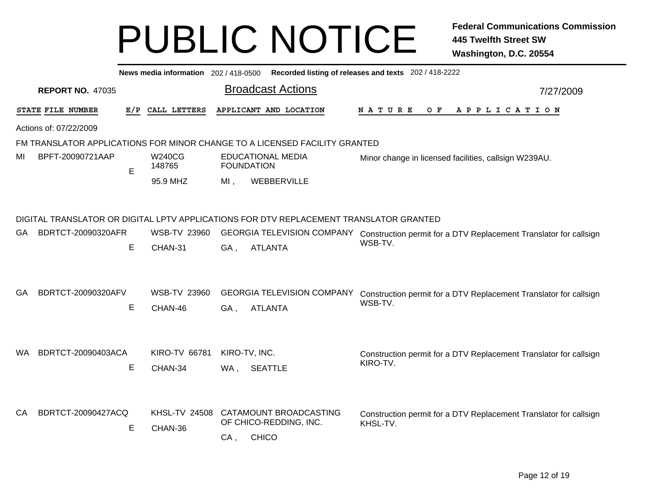|     | News media information 202 / 418-0500<br>Recorded listing of releases and texts 202 / 418-2222 |     |                                 |     |                                                                                        |                                                                               |  |  |  |  |  |  |  |
|-----|------------------------------------------------------------------------------------------------|-----|---------------------------------|-----|----------------------------------------------------------------------------------------|-------------------------------------------------------------------------------|--|--|--|--|--|--|--|
|     | <b>REPORT NO. 47035</b>                                                                        |     |                                 |     | <b>Broadcast Actions</b>                                                               | 7/27/2009                                                                     |  |  |  |  |  |  |  |
|     | STATE FILE NUMBER                                                                              | E/P | CALL LETTERS                    |     | APPLICANT AND LOCATION                                                                 | N A T U R E<br>O F<br>A P P L I C A T I O N                                   |  |  |  |  |  |  |  |
|     | Actions of: 07/22/2009                                                                         |     |                                 |     |                                                                                        |                                                                               |  |  |  |  |  |  |  |
|     | FM TRANSLATOR APPLICATIONS FOR MINOR CHANGE TO A LICENSED FACILITY GRANTED                     |     |                                 |     |                                                                                        |                                                                               |  |  |  |  |  |  |  |
| MI  | BPFT-20090721AAP                                                                               | E   | W240CG<br>148765                |     | <b>EDUCATIONAL MEDIA</b><br><b>FOUNDATION</b>                                          | Minor change in licensed facilities, callsign W239AU.                         |  |  |  |  |  |  |  |
|     |                                                                                                |     | 95.9 MHZ                        | MI, | WEBBERVILLE                                                                            |                                                                               |  |  |  |  |  |  |  |
|     |                                                                                                |     |                                 |     |                                                                                        |                                                                               |  |  |  |  |  |  |  |
|     |                                                                                                |     |                                 |     | DIGITAL TRANSLATOR OR DIGITAL LPTV APPLICATIONS FOR DTV REPLACEMENT TRANSLATOR GRANTED |                                                                               |  |  |  |  |  |  |  |
| GA  | BDRTCT-20090320AFR                                                                             |     | <b>WSB-TV 23960</b>             |     | <b>GEORGIA TELEVISION COMPANY</b>                                                      | Construction permit for a DTV Replacement Translator for callsign             |  |  |  |  |  |  |  |
|     |                                                                                                | E   | CHAN-31                         | GA, | <b>ATLANTA</b>                                                                         | WSB-TV.                                                                       |  |  |  |  |  |  |  |
| GA  | BDRTCT-20090320AFV                                                                             | E   | <b>WSB-TV 23960</b><br>CHAN-46  | GA, | <b>GEORGIA TELEVISION COMPANY</b><br><b>ATLANTA</b>                                    | Construction permit for a DTV Replacement Translator for callsign<br>WSB-TV.  |  |  |  |  |  |  |  |
| WA. | BDRTCT-20090403ACA                                                                             | Е   | <b>KIRO-TV 66781</b><br>CHAN-34 | WA, | KIRO-TV, INC.<br><b>SEATTLE</b>                                                        | Construction permit for a DTV Replacement Translator for callsign<br>KIRO-TV. |  |  |  |  |  |  |  |
| CA. | BDRTCT-20090427ACQ                                                                             | Е   | <b>KHSL-TV 24508</b><br>CHAN-36 | CA, | CATAMOUNT BROADCASTING<br>OF CHICO-REDDING, INC.<br><b>CHICO</b>                       | Construction permit for a DTV Replacement Translator for callsign<br>KHSL-TV. |  |  |  |  |  |  |  |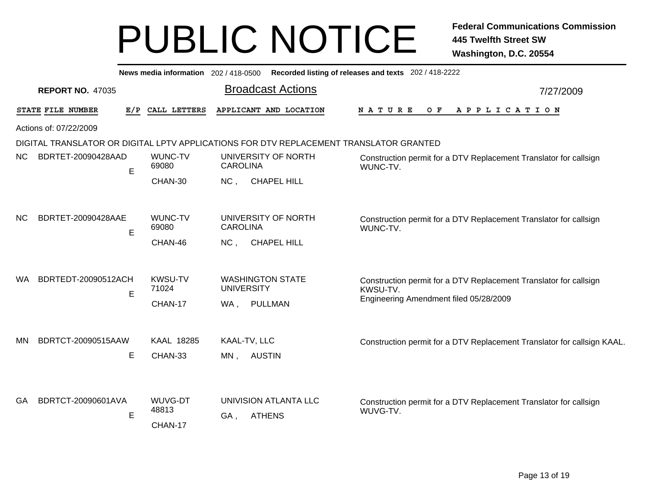|                                  | Recorded listing of releases and texts 202 / 418-2222<br>News media information 202 / 418-0500 |                         |                                                                                        |                                                                               |  |  |  |  |  |  |
|----------------------------------|------------------------------------------------------------------------------------------------|-------------------------|----------------------------------------------------------------------------------------|-------------------------------------------------------------------------------|--|--|--|--|--|--|
| <b>REPORT NO. 47035</b>          |                                                                                                |                         | <b>Broadcast Actions</b>                                                               | 7/27/2009                                                                     |  |  |  |  |  |  |
| STATE FILE NUMBER                | E/P                                                                                            | CALL LETTERS            | APPLICANT AND LOCATION                                                                 | O F<br><b>NATURE</b><br>A P P L I C A T I O N                                 |  |  |  |  |  |  |
| Actions of: 07/22/2009           |                                                                                                |                         |                                                                                        |                                                                               |  |  |  |  |  |  |
|                                  |                                                                                                |                         | DIGITAL TRANSLATOR OR DIGITAL LPTV APPLICATIONS FOR DTV REPLACEMENT TRANSLATOR GRANTED |                                                                               |  |  |  |  |  |  |
| BDRTET-20090428AAD<br>NC.        | E                                                                                              | WUNC-TV<br>69080        | UNIVERSITY OF NORTH<br><b>CAROLINA</b>                                                 | Construction permit for a DTV Replacement Translator for callsign<br>WUNC-TV. |  |  |  |  |  |  |
|                                  |                                                                                                | CHAN-30                 | <b>CHAPEL HILL</b><br>NC,                                                              |                                                                               |  |  |  |  |  |  |
| BDRTET-20090428AAE<br>NC.        |                                                                                                | <b>WUNC-TV</b>          | UNIVERSITY OF NORTH                                                                    | Construction permit for a DTV Replacement Translator for callsign             |  |  |  |  |  |  |
|                                  | E                                                                                              | 69080                   | <b>CAROLINA</b>                                                                        | WUNC-TV.                                                                      |  |  |  |  |  |  |
|                                  |                                                                                                | CHAN-46                 | <b>CHAPEL HILL</b><br>NC,                                                              |                                                                               |  |  |  |  |  |  |
| BDRTEDT-20090512ACH<br><b>WA</b> | E                                                                                              | <b>KWSU-TV</b><br>71024 | <b>WASHINGTON STATE</b><br><b>UNIVERSITY</b>                                           | Construction permit for a DTV Replacement Translator for callsign<br>KWSU-TV. |  |  |  |  |  |  |
|                                  |                                                                                                | CHAN-17                 | PULLMAN<br>WA,                                                                         | Engineering Amendment filed 05/28/2009                                        |  |  |  |  |  |  |
|                                  |                                                                                                |                         |                                                                                        |                                                                               |  |  |  |  |  |  |
| BDRTCT-20090515AAW<br><b>MN</b>  |                                                                                                | KAAL 18285              | KAAL-TV, LLC                                                                           | Construction permit for a DTV Replacement Translator for callsign KAAL.       |  |  |  |  |  |  |
|                                  | Е                                                                                              | CHAN-33                 | MN, AUSTIN                                                                             |                                                                               |  |  |  |  |  |  |
|                                  |                                                                                                |                         |                                                                                        |                                                                               |  |  |  |  |  |  |
| BDRTCT-20090601AVA<br><b>GA</b>  |                                                                                                | <b>WUVG-DT</b><br>48813 | UNIVISION ATLANTA LLC                                                                  | Construction permit for a DTV Replacement Translator for callsign<br>WUVG-TV. |  |  |  |  |  |  |
|                                  | E                                                                                              | CHAN-17                 | GA,<br><b>ATHENS</b>                                                                   |                                                                               |  |  |  |  |  |  |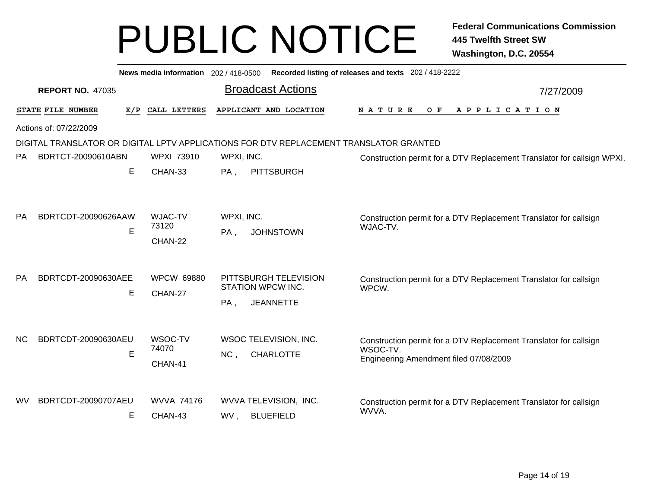|           |                         |     | News media information 202/418-0500 |                      |                                                                                        | Recorded listing of releases and texts 202 / 418-2222 |     |  |                                                                         |
|-----------|-------------------------|-----|-------------------------------------|----------------------|----------------------------------------------------------------------------------------|-------------------------------------------------------|-----|--|-------------------------------------------------------------------------|
|           | <b>REPORT NO. 47035</b> |     |                                     |                      | <b>Broadcast Actions</b>                                                               | 7/27/2009                                             |     |  |                                                                         |
|           | STATE FILE NUMBER       | E/P | CALL LETTERS                        |                      | APPLICANT AND LOCATION                                                                 | <b>NATURE</b>                                         | O F |  | A P P L I C A T I O N                                                   |
|           | Actions of: 07/22/2009  |     |                                     |                      |                                                                                        |                                                       |     |  |                                                                         |
|           |                         |     |                                     |                      | DIGITAL TRANSLATOR OR DIGITAL LPTV APPLICATIONS FOR DTV REPLACEMENT TRANSLATOR GRANTED |                                                       |     |  |                                                                         |
| PA.       | BDRTCT-20090610ABN      |     | WPXI 73910                          | WPXI, INC.           |                                                                                        |                                                       |     |  | Construction permit for a DTV Replacement Translator for callsign WPXI. |
|           |                         | Е   | CHAN-33                             | $PA$ ,               | <b>PITTSBURGH</b>                                                                      |                                                       |     |  |                                                                         |
| <b>PA</b> | BDRTCDT-20090626AAW     | E   | <b>WJAC-TV</b><br>73120<br>CHAN-22  | WPXI, INC.<br>$PA$ , | <b>JOHNSTOWN</b>                                                                       | WJAC-TV.                                              |     |  | Construction permit for a DTV Replacement Translator for callsign       |
| <b>PA</b> | BDRTCDT-20090630AEE     |     | <b>WPCW 69880</b>                   |                      | PITTSBURGH TELEVISION                                                                  |                                                       |     |  | Construction permit for a DTV Replacement Translator for callsign       |
|           |                         | E   | CHAN-27                             | STATION WPCW INC.    |                                                                                        | WPCW.                                                 |     |  |                                                                         |
| <b>NC</b> | BDRTCDT-20090630AEU     | E   | WSOC-TV<br>74070<br>CHAN-41         | PA,<br>NC,           | <b>JEANNETTE</b><br>WSOC TELEVISION, INC.<br><b>CHARLOTTE</b>                          | WSOC-TV.<br>Engineering Amendment filed 07/08/2009    |     |  | Construction permit for a DTV Replacement Translator for callsign       |
| wv        | BDRTCDT-20090707AEU     | E   | <b>WVVA 74176</b><br>CHAN-43        | WV,                  | WVVA TELEVISION, INC.<br><b>BLUEFIELD</b>                                              | WVVA.                                                 |     |  | Construction permit for a DTV Replacement Translator for callsign       |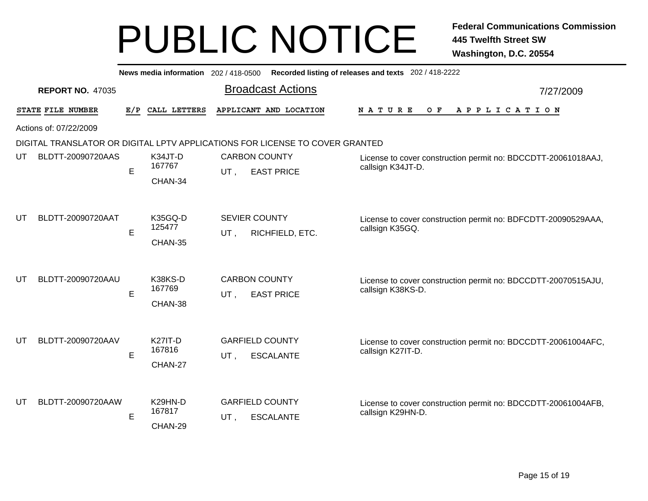|                   | News media information 202 / 418-0500 Recorded listing of releases and texts 202 / 418-2222 |     |                                     |     |                                                                              |                                                                                    |           |  |  |
|-------------------|---------------------------------------------------------------------------------------------|-----|-------------------------------------|-----|------------------------------------------------------------------------------|------------------------------------------------------------------------------------|-----------|--|--|
|                   | <b>REPORT NO. 47035</b>                                                                     |     |                                     |     | <b>Broadcast Actions</b>                                                     |                                                                                    | 7/27/2009 |  |  |
| STATE FILE NUMBER |                                                                                             | E/P | CALL LETTERS                        |     | APPLICANT AND LOCATION                                                       | NATURE<br>$O$ F<br>A P P L I C A T I O N                                           |           |  |  |
|                   | Actions of: 07/22/2009                                                                      |     |                                     |     |                                                                              |                                                                                    |           |  |  |
|                   |                                                                                             |     |                                     |     | DIGITAL TRANSLATOR OR DIGITAL LPTV APPLICATIONS FOR LICENSE TO COVER GRANTED |                                                                                    |           |  |  |
| UT                | BLDTT-20090720AAS                                                                           | E   | K34JT-D<br>167767                   | UT, | <b>CARBON COUNTY</b><br><b>EAST PRICE</b>                                    | License to cover construction permit no: BDCCDTT-20061018AAJ,<br>callsign K34JT-D. |           |  |  |
|                   |                                                                                             |     | CHAN-34                             |     |                                                                              |                                                                                    |           |  |  |
|                   |                                                                                             |     |                                     |     |                                                                              |                                                                                    |           |  |  |
| UT                | BLDTT-20090720AAT                                                                           | E   | K35GQ-D<br>125477                   |     | <b>SEVIER COUNTY</b><br>RICHFIELD, ETC.                                      | License to cover construction permit no: BDFCDTT-20090529AAA,<br>callsign K35GQ.   |           |  |  |
|                   |                                                                                             |     | CHAN-35                             | UT, |                                                                              |                                                                                    |           |  |  |
| UT                | BLDTT-20090720AAU                                                                           | E   | K38KS-D<br>167769<br>CHAN-38        | UT, | <b>CARBON COUNTY</b><br><b>EAST PRICE</b>                                    | License to cover construction permit no: BDCCDTT-20070515AJU,<br>callsign K38KS-D. |           |  |  |
| UT                | BLDTT-20090720AAV                                                                           | E   | <b>K27IT-D</b><br>167816<br>CHAN-27 | UT, | <b>GARFIELD COUNTY</b><br><b>ESCALANTE</b>                                   | License to cover construction permit no: BDCCDTT-20061004AFC,<br>callsign K27IT-D. |           |  |  |
| UT                | BLDTT-20090720AAW                                                                           | Е   | K29HN-D<br>167817<br>CHAN-29        | UT, | <b>GARFIELD COUNTY</b><br><b>ESCALANTE</b>                                   | License to cover construction permit no: BDCCDTT-20061004AFB,<br>callsign K29HN-D. |           |  |  |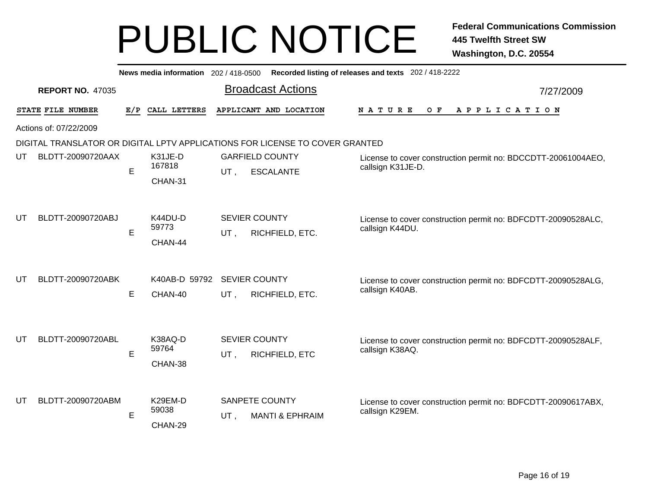|    | Recorded listing of releases and texts 202 / 418-2222<br>News media information 202 / 418-0500 |     |                              |     |                                                                              |                                                                                    |           |  |  |
|----|------------------------------------------------------------------------------------------------|-----|------------------------------|-----|------------------------------------------------------------------------------|------------------------------------------------------------------------------------|-----------|--|--|
|    | <b>REPORT NO. 47035</b>                                                                        |     |                              |     | <b>Broadcast Actions</b>                                                     |                                                                                    | 7/27/2009 |  |  |
|    | STATE FILE NUMBER                                                                              | E/P | CALL LETTERS                 |     | APPLICANT AND LOCATION                                                       | $O$ $\mathbf{F}$<br>N A T U R E<br>A P P L I C A T I O N                           |           |  |  |
|    | Actions of: 07/22/2009                                                                         |     |                              |     |                                                                              |                                                                                    |           |  |  |
|    |                                                                                                |     |                              |     | DIGITAL TRANSLATOR OR DIGITAL LPTV APPLICATIONS FOR LICENSE TO COVER GRANTED |                                                                                    |           |  |  |
| UT | BLDTT-20090720AAX                                                                              | E   | K31JE-D<br>167818<br>CHAN-31 | UT. | <b>GARFIELD COUNTY</b><br><b>ESCALANTE</b>                                   | License to cover construction permit no: BDCCDTT-20061004AEO,<br>callsign K31JE-D. |           |  |  |
| UT | BLDTT-20090720ABJ                                                                              | E   | K44DU-D<br>59773<br>CHAN-44  | UT, | <b>SEVIER COUNTY</b><br>RICHFIELD, ETC.                                      | License to cover construction permit no: BDFCDTT-20090528ALC,<br>callsign K44DU.   |           |  |  |
| UT | BLDTT-20090720ABK                                                                              | E   | K40AB-D 59792<br>CHAN-40     | UT. | <b>SEVIER COUNTY</b><br>RICHFIELD, ETC.                                      | License to cover construction permit no: BDFCDTT-20090528ALG,<br>callsign K40AB.   |           |  |  |
| UT | BLDTT-20090720ABL                                                                              | E   | K38AQ-D<br>59764<br>CHAN-38  | UT, | SEVIER COUNTY<br>RICHFIELD, ETC                                              | License to cover construction permit no: BDFCDTT-20090528ALF,<br>callsign K38AQ.   |           |  |  |
| UT | BLDTT-20090720ABM                                                                              | E   | K29EM-D<br>59038<br>CHAN-29  | UT, | SANPETE COUNTY<br><b>MANTI &amp; EPHRAIM</b>                                 | License to cover construction permit no: BDFCDTT-20090617ABX,<br>callsign K29EM.   |           |  |  |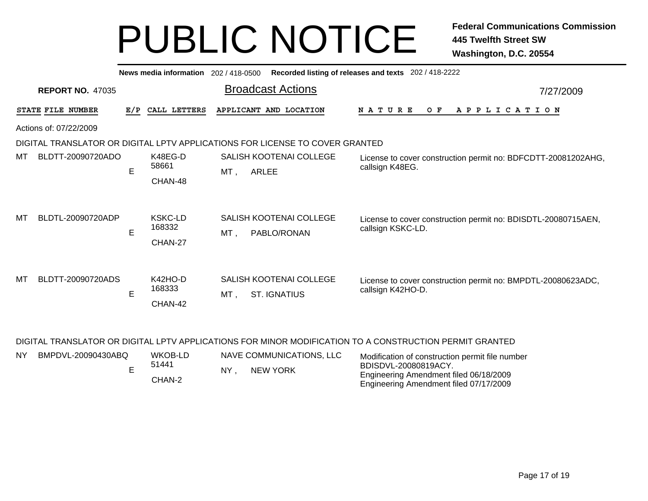|    | Recorded listing of releases and texts 202 / 418-2222<br>News media information 202/418-0500 |     |                                     |                                                                              |                                                                                    |           |  |  |  |  |
|----|----------------------------------------------------------------------------------------------|-----|-------------------------------------|------------------------------------------------------------------------------|------------------------------------------------------------------------------------|-----------|--|--|--|--|
|    | <b>REPORT NO. 47035</b>                                                                      |     |                                     | <b>Broadcast Actions</b>                                                     |                                                                                    | 7/27/2009 |  |  |  |  |
|    | STATE FILE NUMBER                                                                            | E/P | CALL LETTERS                        | APPLICANT AND LOCATION                                                       | <b>NATURE</b><br>O F<br>A P P L I C A T I O N                                      |           |  |  |  |  |
|    | Actions of: 07/22/2009                                                                       |     |                                     |                                                                              |                                                                                    |           |  |  |  |  |
|    |                                                                                              |     |                                     | DIGITAL TRANSLATOR OR DIGITAL LPTV APPLICATIONS FOR LICENSE TO COVER GRANTED |                                                                                    |           |  |  |  |  |
| МT | BLDTT-20090720ADO                                                                            | E   | K48EG-D<br>58661<br>CHAN-48         | SALISH KOOTENAI COLLEGE<br>ARLEE<br>MT,                                      | License to cover construction permit no: BDFCDTT-20081202AHG,<br>callsign K48EG.   |           |  |  |  |  |
| МT | BLDTL-20090720ADP                                                                            | E   | <b>KSKC-LD</b><br>168332<br>CHAN-27 | SALISH KOOTENAI COLLEGE<br>MT.<br>PABLO/RONAN                                | License to cover construction permit no: BDISDTL-20080715AEN,<br>callsign KSKC-LD. |           |  |  |  |  |
| МT | BLDTT-20090720ADS                                                                            | Е   | K42HO-D<br>168333<br>CHAN-42        | SALISH KOOTENAI COLLEGE<br><b>ST. IGNATIUS</b><br>MT,                        | License to cover construction permit no: BMPDTL-20080623ADC,<br>callsign K42HO-D.  |           |  |  |  |  |

#### DIGITAL TRANSLATOR OR DIGITAL LPTV APPLICATIONS FOR MINOR MODIFICATION TO A CONSTRUCTION PERMIT GRANTED

| <b>NY</b> | BMPDVL-20090430ABQ | WKOB-LD |    | NAVE COMMUNICATIONS. LLC | Modification of construction permit file number                |
|-----------|--------------------|---------|----|--------------------------|----------------------------------------------------------------|
|           |                    | 51441   | NY | NEW YORK                 | BDISDVL-20080819ACY.<br>Engineering Amendment filed 06/18/2009 |
|           |                    | CHAN-2  |    |                          | Engineering Amendment filed 07/17/2009                         |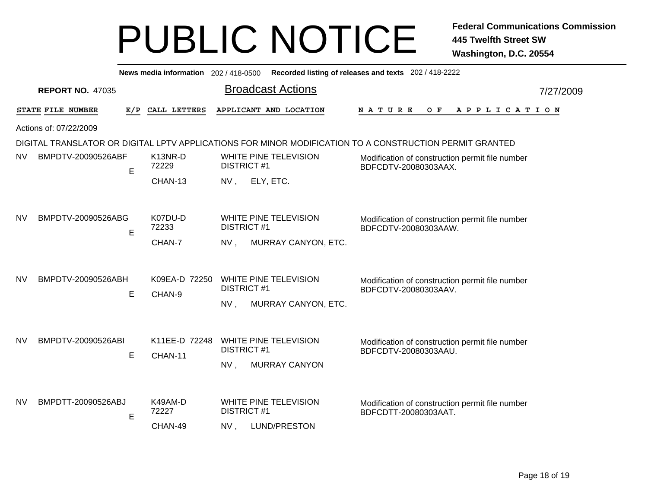|           | News media information 202 / 418-0500 Recorded listing of releases and texts 202 / 418-2222 |    |                             |                                                                                                                                                      |           |  |  |  |  |  |
|-----------|---------------------------------------------------------------------------------------------|----|-----------------------------|------------------------------------------------------------------------------------------------------------------------------------------------------|-----------|--|--|--|--|--|
|           | <b>REPORT NO. 47035</b>                                                                     |    |                             | <b>Broadcast Actions</b>                                                                                                                             | 7/27/2009 |  |  |  |  |  |
|           | STATE FILE NUMBER                                                                           |    | E/P CALL LETTERS            | APPLICANT AND LOCATION<br>N A T U R E<br>O F<br>A P P L I C A T I O N                                                                                |           |  |  |  |  |  |
|           | Actions of: 07/22/2009                                                                      |    |                             |                                                                                                                                                      |           |  |  |  |  |  |
|           |                                                                                             |    |                             | DIGITAL TRANSLATOR OR DIGITAL LPTV APPLICATIONS FOR MINOR MODIFICATION TO A CONSTRUCTION PERMIT GRANTED                                              |           |  |  |  |  |  |
| <b>NV</b> | BMPDTV-20090526ABF                                                                          | E. | K13NR-D<br>72229            | WHITE PINE TELEVISION<br>Modification of construction permit file number<br><b>DISTRICT #1</b><br>BDFCDTV-20080303AAX.                               |           |  |  |  |  |  |
|           |                                                                                             |    | CHAN-13                     | ELY, ETC.<br>NV,                                                                                                                                     |           |  |  |  |  |  |
| <b>NV</b> | BMPDTV-20090526ABG                                                                          |    | K07DU-D<br>72233            | WHITE PINE TELEVISION<br>Modification of construction permit file number<br><b>DISTRICT #1</b><br>BDFCDTV-20080303AAW.                               |           |  |  |  |  |  |
|           |                                                                                             | E  | CHAN-7                      | MURRAY CANYON, ETC.<br>NV,                                                                                                                           |           |  |  |  |  |  |
| <b>NV</b> | BMPDTV-20090526ABH                                                                          | E  | K09EA-D 72250<br>CHAN-9     | WHITE PINE TELEVISION<br>Modification of construction permit file number<br><b>DISTRICT #1</b><br>BDFCDTV-20080303AAV.<br>MURRAY CANYON, ETC.<br>NV, |           |  |  |  |  |  |
| <b>NV</b> | BMPDTV-20090526ABI                                                                          | E  | K11EE-D 72248<br>CHAN-11    | WHITE PINE TELEVISION<br>Modification of construction permit file number<br><b>DISTRICT#1</b><br>BDFCDTV-20080303AAU.<br>NV,<br><b>MURRAY CANYON</b> |           |  |  |  |  |  |
| <b>NV</b> | BMPDTT-20090526ABJ                                                                          | E  | K49AM-D<br>72227<br>CHAN-49 | WHITE PINE TELEVISION<br>Modification of construction permit file number<br><b>DISTRICT #1</b><br>BDFCDTT-20080303AAT.<br>LUND/PRESTON<br>NV,        |           |  |  |  |  |  |